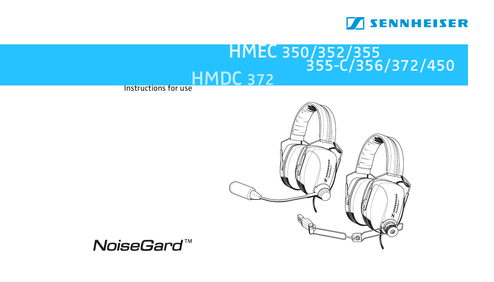

# Instructions for useHMDC 372 HMEC 350/352/355  $355-C/356/372/450$



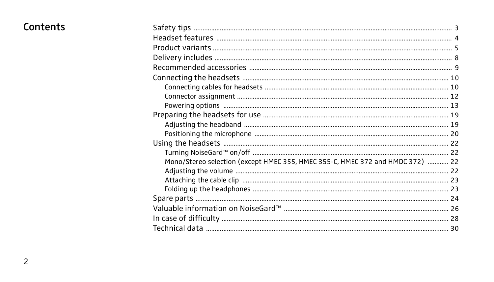# Contents

| Mono/Stereo selection (except HMEC 355, HMEC 355-C, HMEC 372 and HMDC 372)  22 |  |
|--------------------------------------------------------------------------------|--|
|                                                                                |  |
|                                                                                |  |
|                                                                                |  |
|                                                                                |  |
|                                                                                |  |
|                                                                                |  |
|                                                                                |  |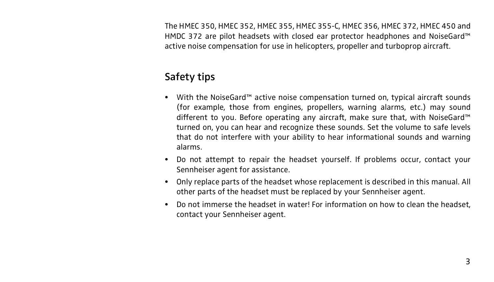The HMEC 350, HMEC 352, HMEC 355, HMEC 355-C, HMEC 356, HMEC 372, HMEC 450 and HMDC 372 are pilot headsets with closed ear protector headphones and NoiseGard™ active noise compensation for use in helicopters, propeller and turboprop aircraft.

# Safety tips

- With the NoiseGard™ active noise compensation turned on, typical aircraft sounds (for example, those from engines, propellers, warning alarms, etc.) may sound different to you. Before operating any aircraft, make sure that, with NoiseGard™ turned on, you can hear and recognize these sounds. Set the volume to safe levels that do not interfere with your ability to hear informational sounds and warning alarms.
- Do not attempt to repair the headset yourself. If problems occur, contact your Sennheiser agent for assistance.
- Only replace parts of the headset whose replacement is described in this manual. All other parts of the headset must be replaced by your Sennheiser agent.
- Do not immerse the headset in water! For information on how to clean the headset, contact your Sennheiser agent.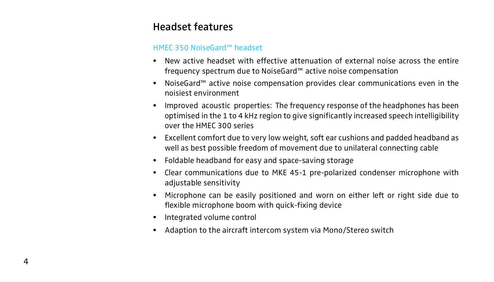# Headset features

#### HMEC 350 NoiseGard™ headset

- New active headset with effective attenuation of external noise across the entire frequency spectrum due to NoiseGard™ active noise compensation
- NoiseGard™ active noise compensation provides clear communications even in the noisiest environment
- Improved acoustic properties: The frequency response of the headphones has been optimised in the 1 to 4 kHz region to give significantly increased speech intelligibility over the HMEC 300 series
- Excellent comfort due to very low weight, soft ear cushions and padded headband as well as best possible freedom of movement due to unilateral connecting cable
- Foldable headband for easy and space-saving storage
- Clear communications due to MKE 45-1 pre-polarized condenser microphone with adjustable sensitivity
- Microphone can be easily positioned and worn on either left or right side due to flexible microphone boom with quick-fixing device
- Integrated volume control
- Adaption to the aircraft intercom system via Mono/Stereo switch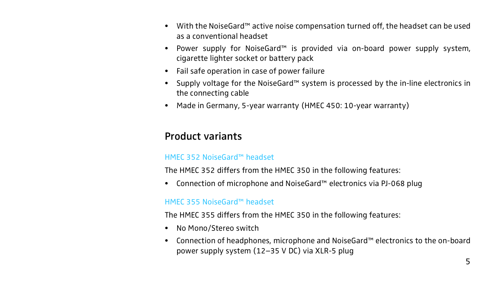- With the NoiseGard™ active noise compensation turned off, the headset can be used as a conventional headset
- Power supply for NoiseGard™ is provided via on-board power supply system, cigarette lighter socket or battery pack
- Fail safe operation in case of power failure
- Supply voltage for the NoiseGard™ system is processed by the in-line electronics in the connecting cable
- Made in Germany, 5-year warranty (HMEC 450: 10-year warranty)

# Product variants

### HMEC 352 NoiseGard™ headset

The HMEC 352 differs from the HMEC 350 in the following features:

• Connection of microphone and NoiseGard™ electronics via PJ-068 plug

#### HMEC 355 NoiseGard™ headset

The HMEC 355 differs from the HMEC 350 in the following features:

- No Mono/Stereo switch
- Connection of headphones, microphone and NoiseGard™ electronics to the on-board power supply system (12–35 V DC) via XLR-5 plug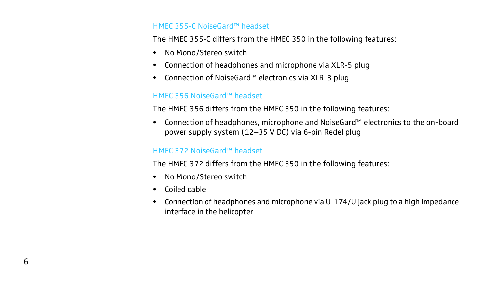#### HMEC 355-C NoiseGard™ headset

The HMEC 355-C differs from the HMEC 350 in the following features:

- No Mono/Stereo switch
- Connection of headphones and microphone via XLR-5 plug
- Connection of NoiseGard™ electronics via XLR-3 plug

### HMEC 356 NoiseGard™ headset

The HMEC 356 differs from the HMEC 350 in the following features:

• Connection of headphones, microphone and NoiseGard™ electronics to the on-board power supply system (12–35 V DC) via 6-pin Redel plug

#### HMEC 372 NoiseGard™ headset

The HMEC 372 differs from the HMEC 350 in the following features:

- No Mono/Stereo switch
- Coiled cable
- Connection of headphones and microphone via U-174/U jack plug to a high impedance interface in the helicopter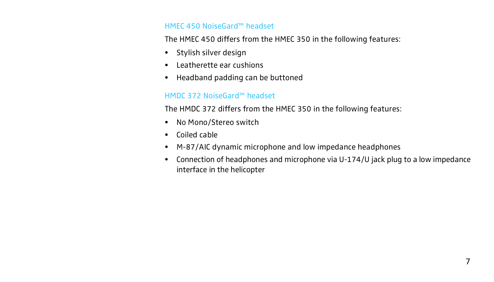#### HMEC 450 NoiseGard™ headset

The HMEC 450 differs from the HMEC 350 in the following features:

- Stylish silver design
- Leatherette ear cushions
- Headband padding can be buttoned

#### HMDC 372 NoiseGard™ headset

The HMDC 372 differs from the HMEC 350 in the following features:

- No Mono/Stereo switch
- Coiled cable
- M-87/AIC dynamic microphone and low impedance headphones
- Connection of headphones and microphone via U-174/U jack plug to a low impedance interface in the helicopter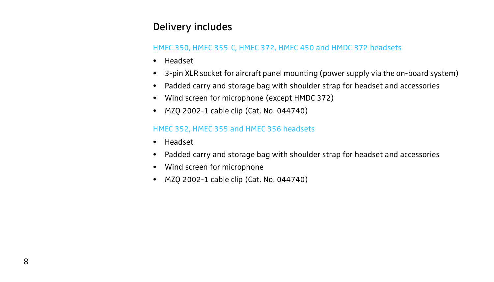# Delivery includes

## HMEC 350, HMEC 355-C, HMEC 372, HMEC 450 and HMDC 372 headsets

- Headset
- 3-pin XLR socket for aircraft panel mounting (power supply via the on-board system)
- Padded carry and storage bag with shoulder strap for headset and accessories
- Wind screen for microphone (except HMDC 372)
- MZQ 2002-1 cable clip (Cat. No. 044740)

## HMEC 352, HMEC 355 and HMEC 356 headsets

- Headset
- Padded carry and storage bag with shoulder strap for headset and accessories
- Wind screen for microphone
- MZQ 2002-1 cable clip (Cat. No. 044740)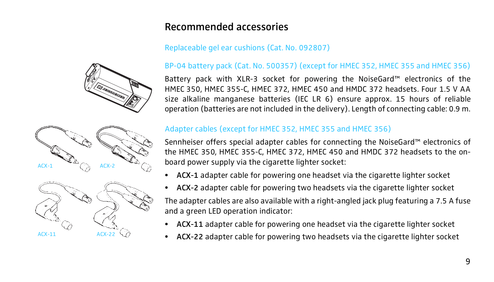# Recommended accessories

## Replaceable gel ear cushions (Cat. No. 092807)



Battery pack with XLR-3 socket for powering the NoiseGard™ electronics of the HMEC 350, HMEC 355-C, HMEC 372, HMEC 450 and HMDC 372 headsets. Four 1.5 V AA size alkaline manganese batteries (IEC LR 6) ensure approx. 15 hours of reliable operation (batteries are not included in the delivery). Length of connecting cable: 0.9 m.

## Adapter cables (except for HMEC 352, HMEC 355 and HMEC 356)

Sennheiser offers special adapter cables for connecting the NoiseGard™ electronics of the HMEC 350, HMEC 355-C, HMEC 372, HMEC 450 and HMDC 372 headsets to the onboard power supply via the cigarette lighter socket:

- ACX-1 adapter cable for powering one headset via the cigarette lighter socket
- ACX-2 adapter cable for powering two headsets via the cigarette lighter socket

The adapter cables are also available with a right-angled jack plug featuring a 7.5 A fuse and a green LED operation indicator:

- ACX-11 adapter cable for powering one headset via the cigarette lighter socket
- ACX-22 adapter cable for powering two headsets via the cigarette lighter socket

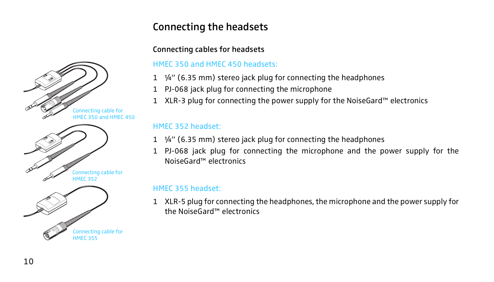# Connecting the headsets

## Connecting cables for headsets

## HMEC 350 and HMEC 450 headsets:

- $1 \frac{1}{4}$  (6.35 mm) stereo jack plug for connecting the headphones
- 1 PJ-068 jack plug for connecting the microphone
- 1 XLR-3 plug for connecting the power supply for the NoiseGard™ electronics

## HMEC 352 headset:

- 1 ¼" (6.35 mm) stereo jack plug for connecting the headphones
- 1 PJ-068 jack plug for connecting the microphone and the power supply for the NoiseGard™ electronics

## HMEC 355 headset:

1 XLR-5 plug for connecting the headphones, the microphone and the power supply for the NoiseGard™ electronics

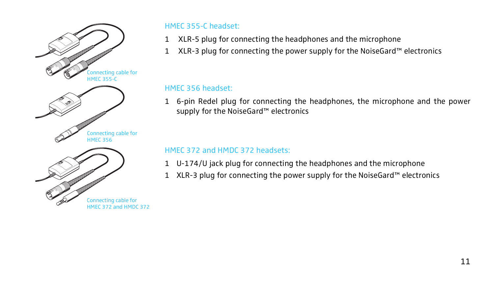

### HMEC 355-C headset:

- 1 XLR-5 plug for connecting the headphones and the microphone
- 1 XLR-3 plug for connecting the power supply for the NoiseGard™ electronics

## HMEC 356 headset:

1 6-pin Redel plug for connecting the headphones, the microphone and the power supply for the NoiseGard™ electronics

### HMEC 372 and HMDC 372 headsets:

- 1 U-174/U jack plug for connecting the headphones and the microphone
- 1 XLR-3 plug for connecting the power supply for the NoiseGard™ electronics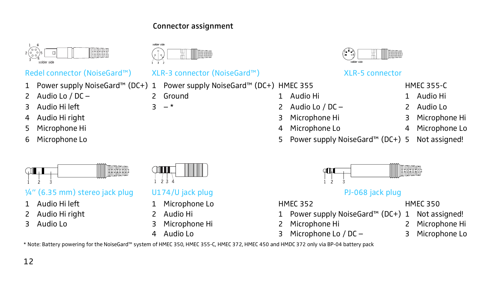## Connector assignment

**Tenn** 

solder side



## Redel connector (NoiseGard™) XLR-3 connector (NoiseGard™) XLR-5 connector

- 1 Power supply NoiseGard™ (DC+) 1 Power supply NoiseGard™ (DC+) HMEC 355 HMEC 355-C
- 2 Audio Lo / DC 2 Ground 1 Audio Hi 1 Audio Hi
- 3 Audio Hi left 3 \* 2 Audio Lo / DC 2 Audio Lo
- 
- 5 Microphone Hi 4 Microphone Lo 4 Microphone Lo
- 



## $\frac{1}{4}$ " (6.35 mm) stereo jack plug U174/U jack plug PJ-068 jack plug PJ-068 jack plug

- 
- 
- 

12



- 1 Audio Hi left 1 Microphone Lo Biochemic HMEC 352 HMEC 350
	-
	-
	-



- 
- 
- 4 Audio Hi right 3 Microphone Hi 3 Microphone Hi
	-
- 6 Microphone Lo 5 Power supply NoiseGard™ (DC+) 5 Not assigned!



- 2 Audio Hi right 2 Audio Hi 1 Power supply NoiseGard™ (DC+) 1 Not assigned!
- 3 Audio Lo 3 Microphone Hi 2 Microphone Hi 2 Microphone Hi
	- 4 Audio Lo 3 Microphone Lo / DC 3 Microphone Lo

- 
- 
- 

\* Note: Battery powering for the NoiseGard™ system of HMEC 350, HMEC 355-C, HMEC 372, HMEC 450 and HMDC 372 only via BP-04 battery pack



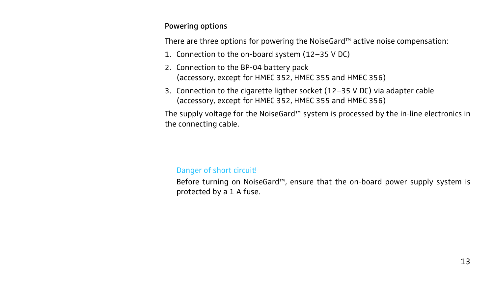#### Powering options

There are three options for powering the NoiseGard™ active noise compensation:

- 1. Connection to the on-board system (12–35 V DC)
- 2. Connection to the BP-04 battery pack (accessory, except for HMEC 352, HMEC 355 and HMEC 356)
- 3. Connection to the cigarette ligther socket (12–35 V DC) via adapter cable (accessory, except for HMEC 352, HMEC 355 and HMEC 356)

The supply voltage for the NoiseGard™ system is processed by the in-line electronics in the connecting cable.

#### Danger of short circuit!

Before turning on NoiseGard™, ensure that the on-board power supply system is protected by a 1 A fuse.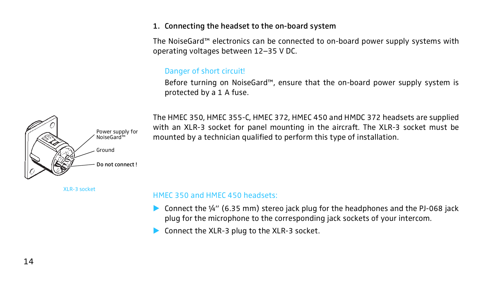#### 1. Connecting the headset to the on-board system

The NoiseGard™ electronics can be connected to on-board power supply systems with operating voltages between 12–35 V DC.

#### Danger of short circuit!

Before turning on NoiseGard™, ensure that the on-board power supply system is protected by a 1 A fuse.

Power supply for NoiseGard™ Ground Do not connect !

The HMEC 350, HMEC 355-C, HMEC 372, HMEC 450 and HMDC 372 headsets are supplied with an XLR-3 socket for panel mounting in the aircraft. The XLR-3 socket must be mounted by a technician qualified to perform this type of installation.

XLR-3 socket

#### HMEC 350 and HMEC 450 headsets:

- **EXECONDECT CONNECT LABOR** Connect the 14" (6.35 mm) stereo jack plug for the headphones and the PJ-068 jack plug for the microphone to the corresponding jack sockets of your intercom.
- ▶ Connect the XLR-3 plug to the XLR-3 socket.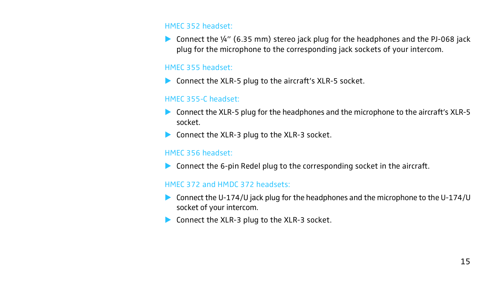#### HMEC 352 headset:

**EX** Connect the  $\frac{1}{4}$ " (6.35 mm) stereo jack plug for the headphones and the PJ-068 jack plug for the microphone to the corresponding jack sockets of your intercom.

#### HMEC 355 headset:

 $\triangleright$  Connect the XLR-5 plug to the aircraft's XLR-5 socket.

#### HMEC 355-C headset:

- $\triangleright$  Connect the XLR-5 plug for the headphones and the microphone to the aircraft's XLR-5 socket.
- $\blacktriangleright$  Connect the XLR-3 plug to the XLR-3 socket.

#### HMEC 356 headset:

 $\triangleright$  Connect the 6-pin Redel plug to the corresponding socket in the aircraft.

#### HMEC 372 and HMDC 372 headsets:

- $\triangleright$  Connect the U-174/U jack plug for the headphones and the microphone to the U-174/U socket of your intercom.
- ▶ Connect the XLR-3 plug to the XLR-3 socket.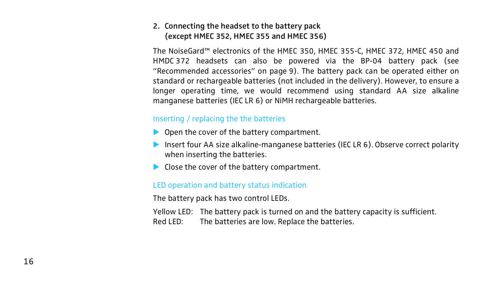## 2. Connecting the headset to the battery pack (except HMEC 352, HMEC 355 and HMEC 356)

The NoiseGard™ electronics of the HMEC 350, HMEC 355-C, HMEC 372, HMEC 450 and HMDC 372 headsets can also be powered via the BP-04 battery pack (see "Recommended accessories" on page 9). The battery pack can be operated either on standard or rechargeable batteries (not included in the delivery). However, to ensure a longer operating time, we would recommend using standard AA size alkaline manganese batteries (IEC LR 6) or NiMH rechargeable batteries.

#### Inserting / replacing the the batteries

- $\triangleright$  Open the cover of the battery compartment.
- Insert four AA size alkaline-manganese batteries (IEC LR  $6$ ). Observe correct polarity when inserting the batteries.
- $\blacktriangleright$  Close the cover of the battery compartment.

#### LED operation and battery status indication

The battery pack has two control LEDs.

Yellow LED: The battery pack is turned on and the battery capacity is sufficient. Red LED: The batteries are low. Replace the batteries.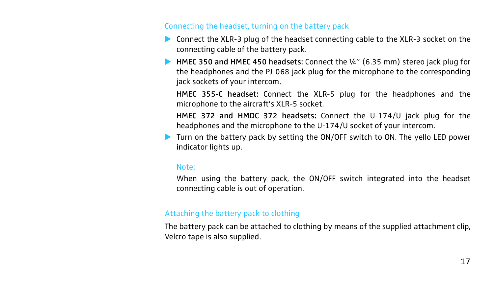#### Connecting the headset, turning on the battery pack

- $\triangleright$  Connect the XLR-3 plug of the headset connecting cable to the XLR-3 socket on the connecting cable of the battery pack.
- **EXECUTE:** HMEC 350 and HMEC 450 headsets: Connect the  $\frac{1}{4}$ " (6.35 mm) stereo jack plug for the headphones and the PJ-068 jack plug for the microphone to the corresponding jack sockets of your intercom.

HMEC 355-C headset: Connect the XLR-5 plug for the headphones and the microphone to the aircraft's XLR-5 socket.

HMEC 372 and HMDC 372 headsets: Connect the U-174/U jack plug for the headphones and the microphone to the U-174/U socket of your intercom.

 $\blacktriangleright$  Turn on the battery pack by setting the ON/OFF switch to ON. The yello LED power indicator lights up.

#### Note:

When using the battery pack, the ON/OFF switch integrated into the headset connecting cable is out of operation.

#### Attaching the battery pack to clothing

The battery pack can be attached to clothing by means of the supplied attachment clip, Velcro tape is also supplied.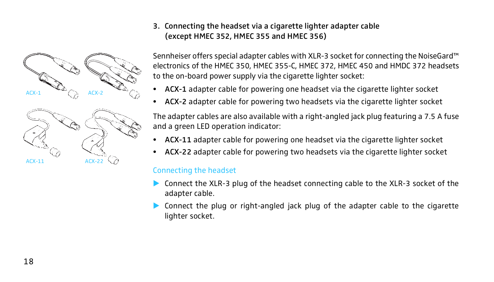

## 3. Connecting the headset via a cigarette lighter adapter cable (except HMEC 352, HMEC 355 and HMEC 356)

Sennheiser offers special adapter cables with XLR-3 socket for connecting the NoiseGard™ electronics of the HMEC 350, HMEC 355-C, HMEC 372, HMEC 450 and HMDC 372 headsets to the on-board power supply via the cigarette lighter socket:

- ACX-1 adapter cable for powering one headset via the cigarette lighter socket
- ACX-2 adapter cable for powering two headsets via the cigarette lighter socket

The adapter cables are also available with a right-angled jack plug featuring a 7.5 A fuse and a green LED operation indicator:

- ACX-11 adapter cable for powering one headset via the cigarette lighter socket
- ACX-22 adapter cable for powering two headsets via the cigarette lighter socket

#### Connecting the headset

- ! Connect the XLR-3 plug of the headset connecting cable to the XLR-3 socket of the adapter cable.
- $\triangleright$  Connect the plug or right-angled jack plug of the adapter cable to the cigarette lighter socket.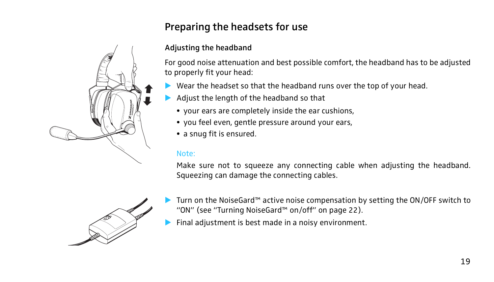# Preparing the headsets for use

## Adjusting the headband

For good noise attenuation and best possible comfort, the headband has to be adjusted to properly fit your head:

- Wear the headset so that the headband runs over the top of your head.
- ! Adjust the length of the headband so that
	- your ears are completely inside the ear cushions,
	- you feel even, gentle pressure around your ears,
	- a snug fit is ensured.

#### Note:

Make sure not to squeeze any connecting cable when adjusting the headband. Squeezing can damage the connecting cables.



- ! Turn on the NoiseGard™ active noise compensation by setting the ON/OFF switch to "ON" (see "Turning NoiseGard™ on/off" on page 22).
- Final adjustment is best made in a noisy environment.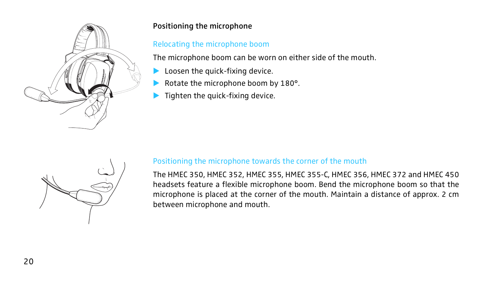

## Positioning the microphone

## Relocating the microphone boom

The microphone boom can be worn on either side of the mouth.

- Loosen the quick-fixing device.
- Rotate the microphone boom by 180°.
- $\blacktriangleright$  Tighten the quick-fixing device.



## Positioning the microphone towards the corner of the mouth

The HMEC 350, HMEC 352, HMEC 355, HMEC 355-C, HMEC 356, HMEC 372 and HMEC 450 headsets feature a flexible microphone boom. Bend the microphone boom so that the microphone is placed at the corner of the mouth. Maintain a distance of approx. 2 cm between microphone and mouth.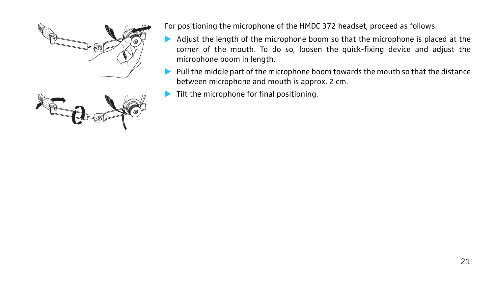



For positioning the microphone of the HMDC 372 headset, proceed as follows:

- $\triangleright$  Adjust the length of the microphone boom so that the microphone is placed at the corner of the mouth. To do so, loosen the quick-fixing device and adjust the microphone boom in length.
- $\triangleright$  Pull the middle part of the microphone boom towards the mouth so that the distance between microphone and mouth is approx. 2 cm.
- Tilt the microphone for final positioning.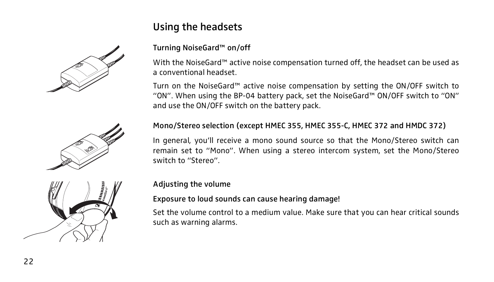# Using the headsets



## Turning NoiseGard™ on/off

With the NoiseGard™ active noise compensation turned off, the headset can be used as a conventional headset.

Turn on the NoiseGard™ active noise compensation by setting the ON/OFF switch to "ON". When using the BP-04 battery pack, set the NoiseGard™ ON/OFF switch to "ON" and use the ON/OFF switch on the battery pack.

# Mono/Stereo selection (except HMEC 355, HMEC 355-C, HMEC 372 and HMDC 372)

In general, you'll receive a mono sound source so that the Mono/Stereo switch can remain set to "Mono". When using a stereo intercom system, set the Mono/Stereo switch to "Stereo".



#### Adjusting the volume

#### Exposure to loud sounds can cause hearing damage!

Set the volume control to a medium value. Make sure that you can hear critical sounds such as warning alarms.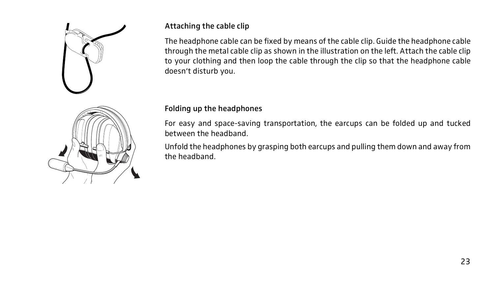

## Attaching the cable clip

The headphone cable can be fixed by means of the cable clip. Guide the headphone cable through the metal cable clip as shown in the illustration on the left. Attach the cable clip to your clothing and then loop the cable through the clip so that the headphone cable doesn't disturb you.

## Folding up the headphones

For easy and space-saving transportation, the earcups can be folded up and tucked between the headband.

Unfold the headphones by grasping both earcups and pulling them down and away from the headband.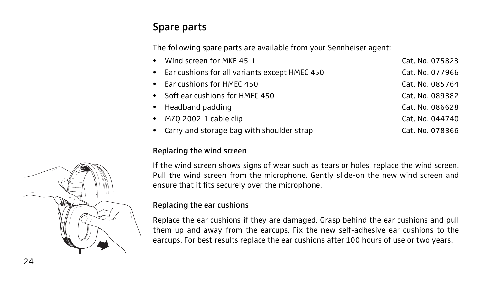# Spare parts

The following spare parts are available from your Sennheiser agent:

| • Wind screen for MKE 45-1                      | Cat. No. 075823 |
|-------------------------------------------------|-----------------|
| • Ear cushions for all variants except HMEC 450 | Cat. No. 077966 |
| • Ear cushions for HMEC 450                     | Cat. No. 085764 |
| • Soft ear cushions for HMEC 450                | Cat. No. 089382 |
| • Headband padding                              | Cat. No. 086628 |
| • MZQ 2002-1 cable clip                         | Cat. No. 044740 |
| • Carry and storage bag with shoulder strap     | Cat. No. 078366 |

### Replacing the wind screen

If the wind screen shows signs of wear such as tears or holes, replace the wind screen. Pull the wind screen from the microphone. Gently slide-on the new wind screen and ensure that it fits securely over the microphone.

### Replacing the ear cushions

Replace the ear cushions if they are damaged. Grasp behind the ear cushions and pull them up and away from the earcups. Fix the new self-adhesive ear cushions to the earcups. For best results replace the ear cushions after 100 hours of use or two years.

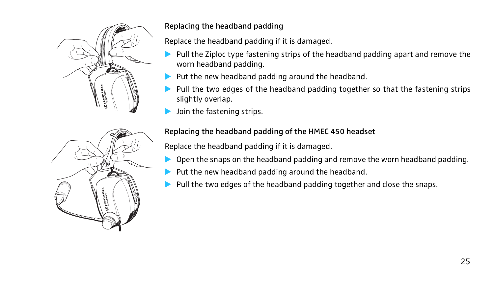

## Replacing the headband padding

Replace the headband padding if it is damaged.

- ! Pull the Ziploc type fastening strips of the headband padding apart and remove the worn headband padding.
- ! Put the new headband padding around the headband.
- Pull the two edges of the headband padding together so that the fastening strips slightly overlap.
- Join the fastening strips.

## Replacing the headband padding of the HMEC 450 headset

Replace the headband padding if it is damaged.

- ! Open the snaps on the headband padding and remove the worn headband padding.
- ! Put the new headband padding around the headband.
- ! Pull the two edges of the headband padding together and close the snaps.

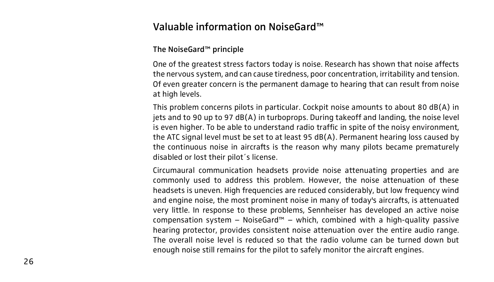# Valuable information on NoiseGard™

#### The NoiseGard™ principle

One of the greatest stress factors today is noise. Research has shown that noise affects the nervous system, and can cause tiredness, poor concentration, irritability and tension. Of even greater concern is the permanent damage to hearing that can result from noise at high levels.

This problem concerns pilots in particular. Cockpit noise amounts to about 80 dB(A) in jets and to 90 up to 97 dB(A) in turboprops. During takeoff and landing, the noise level is even higher. To be able to understand radio traffic in spite of the noisy environment, the ATC signal level must be set to at least 95 dB(A). Permanent hearing loss caused by the continuous noise in aircrafts is the reason why many pilots became prematurely disabled or lost their pilot´s license.

Circumaural communication headsets provide noise attenuating properties and are commonly used to address this problem. However, the noise attenuation of these headsets is uneven. High frequencies are reduced considerably, but low frequency wind and engine noise, the most prominent noise in many of today's aircrafts, is attenuated very little. In response to these problems, Sennheiser has developed an active noise compensation system  $-$  NoiseGard™ – which, combined with a high-quality passive hearing protector, provides consistent noise attenuation over the entire audio range. The overall noise level is reduced so that the radio volume can be turned down but enough noise still remains for the pilot to safely monitor the aircraft engines.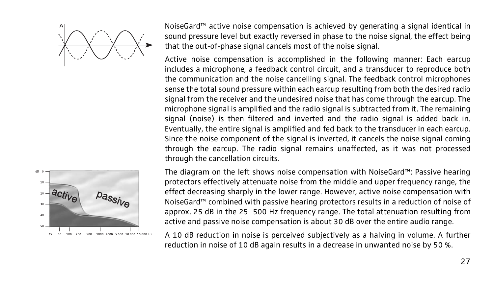



NoiseGard™ active noise compensation is achieved by generating a signal identical in sound pressure level but exactly reversed in phase to the noise signal, the effect being that the out-of-phase signal cancels most of the noise signal.

Active noise compensation is accomplished in the following manner: Each earcup includes a microphone, a feedback control circuit, and a transducer to reproduce both the communication and the noise cancelling signal. The feedback control microphones sense the total sound pressure within each earcup resulting from both the desired radio signal from the receiver and the undesired noise that has come through the earcup. The microphone signal is amplified and the radio signal is subtracted from it. The remaining signal (noise) is then filtered and inverted and the radio signal is added back in. Eventually, the entire signal is amplified and fed back to the transducer in each earcup. Since the noise component of the signal is inverted, it cancels the noise signal coming through the earcup. The radio signal remains unaffected, as it was not processed through the cancellation circuits.

The diagram on the left shows noise compensation with NoiseGard™: Passive hearing protectors effectively attenuate noise from the middle and upper frequency range, the effect decreasing sharply in the lower range. However, active noise compensation with NoiseGard™ combined with passive hearing protectors results in a reduction of noise of approx. 25 dB in the 25–500 Hz frequency range. The total attenuation resulting from active and passive noise compensation is about 30 dB over the entire audio range.

A 10 dB reduction in noise is perceived subjectively as a halving in volume. A further reduction in noise of 10 dB again results in a decrease in unwanted noise by 50 %.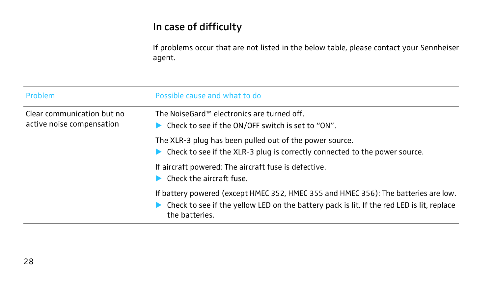# In case of difficulty

If problems occur that are not listed in the below table, please contact your Sennheiser agent.

| <b>Problem</b>                                          | Possible cause and what to do                                                                                                                                                                      |  |  |
|---------------------------------------------------------|----------------------------------------------------------------------------------------------------------------------------------------------------------------------------------------------------|--|--|
| Clear communication but no<br>active noise compensation | The NoiseGard™ electronics are turned off.<br>$\triangleright$ Check to see if the ON/OFF switch is set to "ON".                                                                                   |  |  |
|                                                         | The XLR-3 plug has been pulled out of the power source.<br>> Check to see if the XLR-3 plug is correctly connected to the power source.                                                            |  |  |
|                                                         | If aircraft powered: The aircraft fuse is defective.<br>Check the aircraft fuse.                                                                                                                   |  |  |
|                                                         | If battery powered (except HMEC 352, HMEC 355 and HMEC 356): The batteries are low.<br>Check to see if the yellow LED on the battery pack is lit. If the red LED is lit, replace<br>the batteries. |  |  |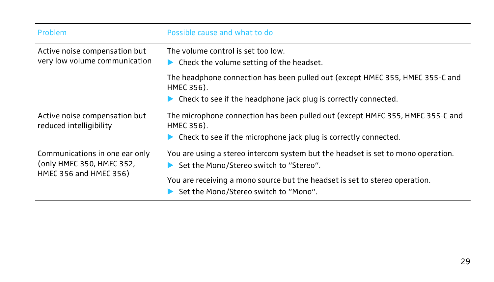| Problem                                                        | Possible cause and what to do                                                                                                                                    |  |  |
|----------------------------------------------------------------|------------------------------------------------------------------------------------------------------------------------------------------------------------------|--|--|
| Active noise compensation but<br>very low volume communication | The volume control is set too low.<br>Check the volume setting of the headset.                                                                                   |  |  |
|                                                                | The headphone connection has been pulled out (except HMEC 355, HMEC 355-C and<br>HMEC 356).<br>Check to see if the headphone jack plug is correctly connected.   |  |  |
| Active noise compensation but<br>reduced intelligibility       | The microphone connection has been pulled out (except HMEC 355, HMEC 355-C and<br>HMEC 356).<br>Check to see if the microphone jack plug is correctly connected. |  |  |
| Communications in one ear only<br>(only HMEC 350, HMEC 352,    | You are using a stereo intercom system but the headset is set to mono operation.<br>Set the Mono/Stereo switch to "Stereo".                                      |  |  |
| HMEC 356 and HMEC 356)                                         | You are receiving a mono source but the headset is set to stereo operation.<br>Set the Mono/Stereo switch to "Mono".                                             |  |  |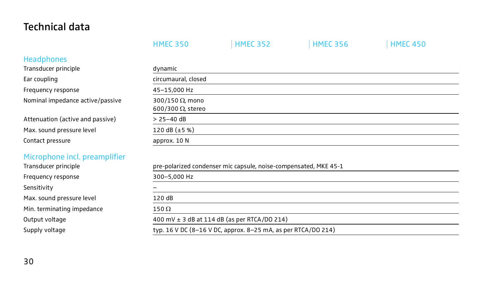# Technical data

|                                  | <b>HMEC 350</b>                                                  | <b>HMEC 352</b>                                               | <b>HMEC 356</b> | <b>HMEC 450</b> |  |  |
|----------------------------------|------------------------------------------------------------------|---------------------------------------------------------------|-----------------|-----------------|--|--|
| <b>Headphones</b>                |                                                                  |                                                               |                 |                 |  |  |
| Transducer principle             | dynamic                                                          |                                                               |                 |                 |  |  |
| Ear coupling                     | circumaural, closed                                              |                                                               |                 |                 |  |  |
| Frequency response               | 45-15,000 Hz                                                     |                                                               |                 |                 |  |  |
| Nominal impedance active/passive | 300/150 $\Omega$ , mono<br>600/300 $\Omega$ , stereo             |                                                               |                 |                 |  |  |
| Attenuation (active and passive) | $> 25 - 40$ dB                                                   |                                                               |                 |                 |  |  |
| Max. sound pressure level        | 120 dB $(\pm 5 \%)$                                              |                                                               |                 |                 |  |  |
| Contact pressure                 | approx. 10 N                                                     |                                                               |                 |                 |  |  |
| Microphone incl. preamplifier    |                                                                  |                                                               |                 |                 |  |  |
| Transducer principle             | pre-polarized condenser mic capsule, noise-compensated, MKE 45-1 |                                                               |                 |                 |  |  |
| Frequency response               | 300-5,000 Hz                                                     |                                                               |                 |                 |  |  |
| Sensitivity                      |                                                                  |                                                               |                 |                 |  |  |
| Max. sound pressure level        | 120 dB                                                           |                                                               |                 |                 |  |  |
| Min. terminating impedance       | $150\,\Omega$                                                    |                                                               |                 |                 |  |  |
| Output voltage                   | 400 mV $\pm$ 3 dB at 114 dB (as per RTCA/DO 214)                 |                                                               |                 |                 |  |  |
| Supply voltage                   |                                                                  | typ. 16 V DC (8-16 V DC, approx. 8-25 mA, as per RTCA/DO 214) |                 |                 |  |  |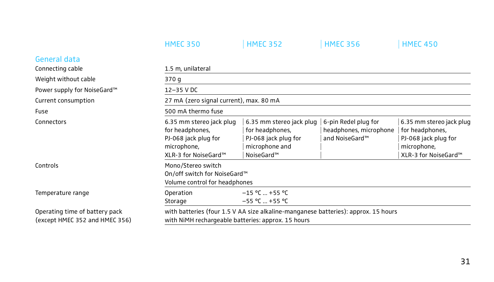|                                                                                                                                                                                                              | <b>HMEC 350</b>                                                                                            | <b>HMEC 352</b>                                                                                     | <b>HMEC 356</b>                                                  | <b>HMEC 450</b>                                                                                            |
|--------------------------------------------------------------------------------------------------------------------------------------------------------------------------------------------------------------|------------------------------------------------------------------------------------------------------------|-----------------------------------------------------------------------------------------------------|------------------------------------------------------------------|------------------------------------------------------------------------------------------------------------|
| General data                                                                                                                                                                                                 |                                                                                                            |                                                                                                     |                                                                  |                                                                                                            |
| Connecting cable                                                                                                                                                                                             | 1.5 m, unilateral                                                                                          |                                                                                                     |                                                                  |                                                                                                            |
| Weight without cable                                                                                                                                                                                         | 370 g                                                                                                      |                                                                                                     |                                                                  |                                                                                                            |
| Power supply for NoiseGard™                                                                                                                                                                                  | 12-35 V DC                                                                                                 |                                                                                                     |                                                                  |                                                                                                            |
| Current consumption                                                                                                                                                                                          | 27 mA (zero signal current), max. 80 mA                                                                    |                                                                                                     |                                                                  |                                                                                                            |
| 500 mA thermo fuse<br>Fuse                                                                                                                                                                                   |                                                                                                            |                                                                                                     |                                                                  |                                                                                                            |
| Connectors                                                                                                                                                                                                   | 6.35 mm stereo jack plug<br>for headphones,<br>PJ-068 jack plug for<br>microphone,<br>XLR-3 for NoiseGard™ | 6.35 mm stereo jack plug<br>for headphones,<br>PJ-068 jack plug for<br>microphone and<br>NoiseGard™ | 6-pin Redel plug for<br>headphones, microphone<br>and NoiseGard™ | 6.35 mm stereo jack plug<br>for headphones,<br>PJ-068 jack plug for<br>microphone,<br>XLR-3 for NoiseGard™ |
| Controls                                                                                                                                                                                                     | Mono/Stereo switch<br>On/off switch for NoiseGard™<br>Volume control for headphones                        |                                                                                                     |                                                                  |                                                                                                            |
| Temperature range                                                                                                                                                                                            | Operation<br>Storage                                                                                       | $-15$ °C  +55 °C<br>$-55$ °C  +55 °C                                                                |                                                                  |                                                                                                            |
| Operating time of battery pack<br>with batteries (four 1.5 V AA size alkaline-manganese batteries): approx. 15 hours<br>with NiMH rechargeable batteries: approx. 15 hours<br>(except HMEC 352 and HMEC 356) |                                                                                                            |                                                                                                     |                                                                  |                                                                                                            |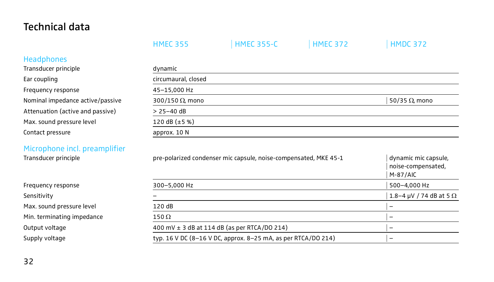# Technical data

|                                  | <b>HMEC 355</b>                                                              | <b>HMEC 355-C</b> | <b>HMEC 372</b> | <b>HMDC 372</b>                                          |  |  |
|----------------------------------|------------------------------------------------------------------------------|-------------------|-----------------|----------------------------------------------------------|--|--|
| <b>Headphones</b>                |                                                                              |                   |                 |                                                          |  |  |
| Transducer principle             | dynamic                                                                      |                   |                 |                                                          |  |  |
| Ear coupling                     | circumaural, closed                                                          |                   |                 |                                                          |  |  |
| Frequency response               | 45-15,000 Hz                                                                 |                   |                 |                                                          |  |  |
| Nominal impedance active/passive | 300/150 $\Omega$ , mono                                                      |                   |                 | 50/35 $\Omega$ , mono                                    |  |  |
| Attenuation (active and passive) | $> 25 - 40$ dB                                                               |                   |                 |                                                          |  |  |
| Max. sound pressure level        | 120 dB $(\pm 5 \%)$                                                          |                   |                 |                                                          |  |  |
| Contact pressure                 | approx. 10 N                                                                 |                   |                 |                                                          |  |  |
| Microphone incl. preamplifier    |                                                                              |                   |                 |                                                          |  |  |
| Transducer principle             | pre-polarized condenser mic capsule, noise-compensated, MKE 45-1             |                   |                 | dynamic mic capsule,<br>noise-compensated,<br>$M-87/AlC$ |  |  |
| Frequency response               | 300-5,000 Hz                                                                 |                   |                 | 500-4,000 Hz                                             |  |  |
| Sensitivity                      |                                                                              |                   |                 |                                                          |  |  |
| Max. sound pressure level        | 120 dB                                                                       |                   |                 |                                                          |  |  |
| Min. terminating impedance       | $150\,\Omega$                                                                | -                 |                 |                                                          |  |  |
| Output voltage                   | 400 mV $\pm$ 3 dB at 114 dB (as per RTCA/DO 214)<br>$\overline{\phantom{0}}$ |                   |                 |                                                          |  |  |
| Supply voltage                   | typ. 16 V DC (8-16 V DC, approx. 8-25 mA, as per RTCA/DO 214)<br>-           |                   |                 |                                                          |  |  |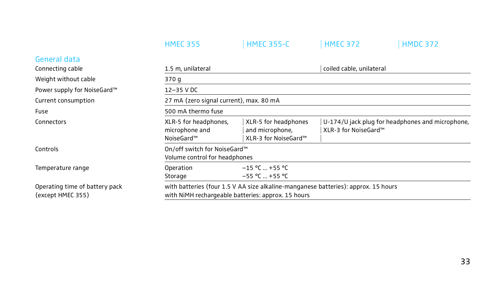|                                                                | <b>HMEC 355</b>                                                                                                                          | <b>HMEC 355-C</b>                                               | <b>HMEC 372</b>          | <b>HMDC 372</b>                                  |  |
|----------------------------------------------------------------|------------------------------------------------------------------------------------------------------------------------------------------|-----------------------------------------------------------------|--------------------------|--------------------------------------------------|--|
| General data                                                   |                                                                                                                                          |                                                                 |                          |                                                  |  |
| Connecting cable                                               | 1.5 m, unilateral                                                                                                                        |                                                                 | coiled cable, unilateral |                                                  |  |
| Weight without cable                                           | 370 g                                                                                                                                    |                                                                 |                          |                                                  |  |
| Power supply for NoiseGard™                                    | 12-35 V DC                                                                                                                               |                                                                 |                          |                                                  |  |
| 27 mA (zero signal current), max. 80 mA<br>Current consumption |                                                                                                                                          |                                                                 |                          |                                                  |  |
| Fuse                                                           | 500 mA thermo fuse                                                                                                                       |                                                                 |                          |                                                  |  |
| Connectors                                                     | XLR-5 for headphones,<br>microphone and<br>NoiseGard™                                                                                    | XLR-5 for headphones<br>and microphone,<br>XLR-3 for NoiseGard™ | XLR-3 for NoiseGard™     | U-174/U jack plug for headphones and microphone, |  |
| Controls                                                       | On/off switch for NoiseGard™<br>Volume control for headphones                                                                            |                                                                 |                          |                                                  |  |
| Temperature range                                              | Operation<br>Storage                                                                                                                     | $-15$ °C  +55 °C<br>$-55$ °C  +55 °C                            |                          |                                                  |  |
| Operating time of battery pack<br>(except HMEC 355)            | with batteries (four 1.5 V AA size alkaline-manganese batteries): approx. 15 hours<br>with NiMH rechargeable batteries: approx. 15 hours |                                                                 |                          |                                                  |  |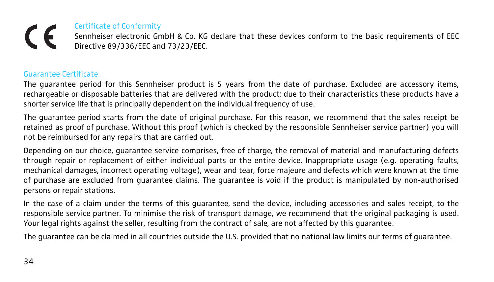# Certificate of Conformity  $\epsilon$

Sennheiser electronic GmbH & Co. KG declare that these devices conform to the basic requirements of EEC Directive 89/336/EEC and 73/23/EEC.

#### Guarantee Certificate

The guarantee period for this Sennheiser product is 5 years from the date of purchase. Excluded are accessory items, rechargeable or disposable batteries that are delivered with the product; due to their characteristics these products have a shorter service life that is principally dependent on the individual frequency of use.

The guarantee period starts from the date of original purchase. For this reason, we recommend that the sales receipt be retained as proof of purchase. Without this proof (which is checked by the responsible Sennheiser service partner) you will not be reimbursed for any repairs that are carried out.

Depending on our choice, guarantee service comprises, free of charge, the removal of material and manufacturing defects through repair or replacement of either individual parts or the entire device. Inappropriate usage (e.g. operating faults, mechanical damages, incorrect operating voltage), wear and tear, force majeure and defects which were known at the time of purchase are excluded from guarantee claims. The guarantee is void if the product is manipulated by non-authorised persons or repair stations.

In the case of a claim under the terms of this guarantee, send the device, including accessories and sales receipt, to the responsible service partner. To minimise the risk of transport damage, we recommend that the original packaging is used. Your legal rights against the seller, resulting from the contract of sale, are not affected by this guarantee.

The guarantee can be claimed in all countries outside the U.S. provided that no national law limits our terms of guarantee.